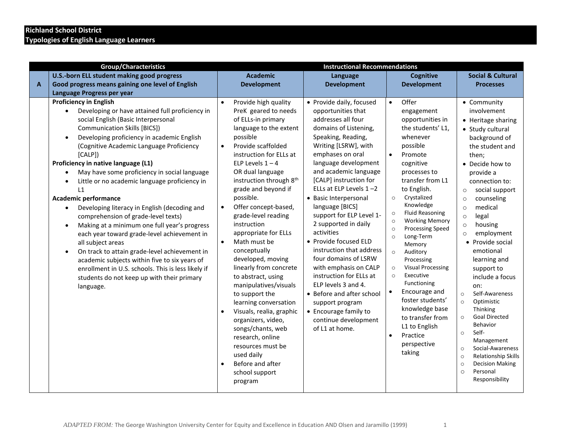## **Richland School District Typologies of English Language Learners**

| <b>Group/Characteristics</b> |                                                                                                                                                                                                                                                                                                                                                                                                                                                                                                                                                                                                                                                                                                                                                                                                                                                                        |           | <b>Instructional Recommendations</b>                                                                                                                                                                                                                                                                                                                                                                                                                                                                                                                                                                                                                                                                                         |                                                                                                                                                                                                                                                                                                                                                                                                                                                                                                                                                                                                                                                                   |                                                                                                                             |                                                                                                                                                                                                                                                                                                                                                                                                                                                                                                                     |                                                                                                                                                                                                                                                                                                                                                                                                                                                                                                                                                                                                                                                                                                               |
|------------------------------|------------------------------------------------------------------------------------------------------------------------------------------------------------------------------------------------------------------------------------------------------------------------------------------------------------------------------------------------------------------------------------------------------------------------------------------------------------------------------------------------------------------------------------------------------------------------------------------------------------------------------------------------------------------------------------------------------------------------------------------------------------------------------------------------------------------------------------------------------------------------|-----------|------------------------------------------------------------------------------------------------------------------------------------------------------------------------------------------------------------------------------------------------------------------------------------------------------------------------------------------------------------------------------------------------------------------------------------------------------------------------------------------------------------------------------------------------------------------------------------------------------------------------------------------------------------------------------------------------------------------------------|-------------------------------------------------------------------------------------------------------------------------------------------------------------------------------------------------------------------------------------------------------------------------------------------------------------------------------------------------------------------------------------------------------------------------------------------------------------------------------------------------------------------------------------------------------------------------------------------------------------------------------------------------------------------|-----------------------------------------------------------------------------------------------------------------------------|---------------------------------------------------------------------------------------------------------------------------------------------------------------------------------------------------------------------------------------------------------------------------------------------------------------------------------------------------------------------------------------------------------------------------------------------------------------------------------------------------------------------|---------------------------------------------------------------------------------------------------------------------------------------------------------------------------------------------------------------------------------------------------------------------------------------------------------------------------------------------------------------------------------------------------------------------------------------------------------------------------------------------------------------------------------------------------------------------------------------------------------------------------------------------------------------------------------------------------------------|
|                              | U.S.-born ELL student making good progress                                                                                                                                                                                                                                                                                                                                                                                                                                                                                                                                                                                                                                                                                                                                                                                                                             |           | <b>Academic</b>                                                                                                                                                                                                                                                                                                                                                                                                                                                                                                                                                                                                                                                                                                              | Language                                                                                                                                                                                                                                                                                                                                                                                                                                                                                                                                                                                                                                                          |                                                                                                                             | <b>Cognitive</b>                                                                                                                                                                                                                                                                                                                                                                                                                                                                                                    | <b>Social &amp; Cultural</b>                                                                                                                                                                                                                                                                                                                                                                                                                                                                                                                                                                                                                                                                                  |
| $\mathbf{A}$                 | Good progress means gaining one level of English                                                                                                                                                                                                                                                                                                                                                                                                                                                                                                                                                                                                                                                                                                                                                                                                                       |           | <b>Development</b>                                                                                                                                                                                                                                                                                                                                                                                                                                                                                                                                                                                                                                                                                                           | <b>Development</b>                                                                                                                                                                                                                                                                                                                                                                                                                                                                                                                                                                                                                                                |                                                                                                                             | <b>Development</b>                                                                                                                                                                                                                                                                                                                                                                                                                                                                                                  | <b>Processes</b>                                                                                                                                                                                                                                                                                                                                                                                                                                                                                                                                                                                                                                                                                              |
|                              | Language Progress per year                                                                                                                                                                                                                                                                                                                                                                                                                                                                                                                                                                                                                                                                                                                                                                                                                                             |           |                                                                                                                                                                                                                                                                                                                                                                                                                                                                                                                                                                                                                                                                                                                              |                                                                                                                                                                                                                                                                                                                                                                                                                                                                                                                                                                                                                                                                   |                                                                                                                             |                                                                                                                                                                                                                                                                                                                                                                                                                                                                                                                     |                                                                                                                                                                                                                                                                                                                                                                                                                                                                                                                                                                                                                                                                                                               |
|                              | <b>Proficiency in English</b><br>Developing or have attained full proficiency in<br>social English (Basic Interpersonal<br><b>Communication Skills [BICS])</b><br>Developing proficiency in academic English<br>(Cognitive Academic Language Proficiency<br>[CALP]<br>Proficiency in native language (L1)<br>May have some proficiency in social language<br>Little or no academic language proficiency in<br>L1<br>Academic performance<br>Developing literacy in English (decoding and<br>comprehension of grade-level texts)<br>Making at a minimum one full year's progress<br>each year toward grade-level achievement in<br>all subject areas<br>On track to attain grade-level achievement in<br>academic subjects within five to six years of<br>enrollment in U.S. schools. This is less likely if<br>students do not keep up with their primary<br>language. | $\bullet$ | Provide high quality<br>PreK geared to needs<br>of ELLs-in primary<br>language to the extent<br>possible<br>Provide scaffolded<br>instruction for ELLs at<br>ELP Levels $1 - 4$<br>OR dual language<br>instruction through 8 <sup>th</sup><br>grade and beyond if<br>possible.<br>Offer concept-based,<br>grade-level reading<br>instruction<br>appropriate for ELLs<br>Math must be<br>conceptually<br>developed, moving<br>linearly from concrete<br>to abstract, using<br>manipulatives/visuals<br>to support the<br>learning conversation<br>Visuals, realia, graphic<br>organizers, video,<br>songs/chants, web<br>research, online<br>resources must be<br>used daily<br>Before and after<br>school support<br>program | • Provide daily, focused<br>opportunities that<br>addresses all four<br>domains of Listening,<br>Speaking, Reading,<br>Writing [LSRW], with<br>emphases on oral<br>language development<br>and academic language<br>[CALP] instruction for<br>ELLs at ELP Levels $1 - 2$<br>• Basic Interpersonal<br>language [BICS]<br>support for ELP Level 1-<br>2 supported in daily<br>activities<br>• Provide focused ELD<br>instruction that address<br>four domains of LSRW<br>with emphasis on CALP<br>instruction for ELLs at<br>ELP levels 3 and 4.<br>• Before and after school<br>support program<br>• Encourage family to<br>continue development<br>of L1 at home. | $\bullet$<br>$\bullet$<br>$\circ$<br>$\circ$<br>$\circ$<br>$\circ$<br>$\circ$<br>$\circ$<br>$\circ$<br>$\circ$<br>$\bullet$ | Offer<br>engagement<br>opportunities in<br>the students' L1,<br>whenever<br>possible<br>Promote<br>cognitive<br>processes to<br>transfer from L1<br>to English.<br>Crystalized<br>Knowledge<br><b>Fluid Reasoning</b><br><b>Working Memory</b><br><b>Processing Speed</b><br>Long-Term<br>Memory<br>Auditory<br>Processing<br><b>Visual Processing</b><br>Executive<br>Functioning<br>Encourage and<br>foster students'<br>knowledge base<br>to transfer from<br>L1 to English<br>Practice<br>perspective<br>taking | • Community<br>involvement<br>• Heritage sharing<br>• Study cultural<br>background of<br>the student and<br>then:<br>• Decide how to<br>provide a<br>connection to:<br>social support<br>$\circ$<br>counseling<br>$\circ$<br>medical<br>$\circ$<br>legal<br>$\circ$<br>housing<br>$\circ$<br>employment<br>$\circ$<br>• Provide social<br>emotional<br>learning and<br>support to<br>include a focus<br>on:<br>Self-Awareness<br>$\circ$<br>Optimistic<br>$\circ$<br>Thinking<br><b>Goal Directed</b><br>$\circ$<br>Behavior<br>Self-<br>$\circ$<br>Management<br>Social-Awareness<br>$\circ$<br>Relationship Skills<br>$\circ$<br><b>Decision Making</b><br>$\circ$<br>Personal<br>$\circ$<br>Responsibility |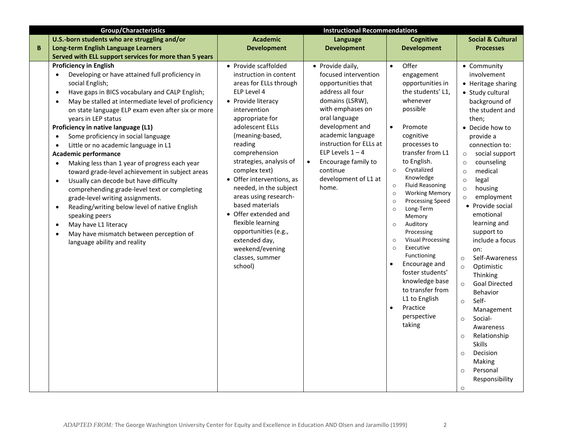|   | <b>Group/Characteristics</b>                                                                                                                                                                                                                                                                                                                                                                                                                                                                                                                                                                                                                                                                                                                                                                                                                                                                                                                                                            | <b>Instructional Recommendations</b>                                                                                                                                                                                                                                                                                                                                                                                                                                                                     |                                                                                                                                                                                                                                                                                                                      |                                                                                                                                                                                                                                                                                                                                                                                                                                                                                                                                                                                                                                                    |                                                                                                                                                                                                                                                                                                                                                                                                                                                                                                                                                                                                                                                                                                                                           |
|---|-----------------------------------------------------------------------------------------------------------------------------------------------------------------------------------------------------------------------------------------------------------------------------------------------------------------------------------------------------------------------------------------------------------------------------------------------------------------------------------------------------------------------------------------------------------------------------------------------------------------------------------------------------------------------------------------------------------------------------------------------------------------------------------------------------------------------------------------------------------------------------------------------------------------------------------------------------------------------------------------|----------------------------------------------------------------------------------------------------------------------------------------------------------------------------------------------------------------------------------------------------------------------------------------------------------------------------------------------------------------------------------------------------------------------------------------------------------------------------------------------------------|----------------------------------------------------------------------------------------------------------------------------------------------------------------------------------------------------------------------------------------------------------------------------------------------------------------------|----------------------------------------------------------------------------------------------------------------------------------------------------------------------------------------------------------------------------------------------------------------------------------------------------------------------------------------------------------------------------------------------------------------------------------------------------------------------------------------------------------------------------------------------------------------------------------------------------------------------------------------------------|-------------------------------------------------------------------------------------------------------------------------------------------------------------------------------------------------------------------------------------------------------------------------------------------------------------------------------------------------------------------------------------------------------------------------------------------------------------------------------------------------------------------------------------------------------------------------------------------------------------------------------------------------------------------------------------------------------------------------------------------|
|   | U.S.-born students who are struggling and/or                                                                                                                                                                                                                                                                                                                                                                                                                                                                                                                                                                                                                                                                                                                                                                                                                                                                                                                                            | <b>Academic</b>                                                                                                                                                                                                                                                                                                                                                                                                                                                                                          | Language                                                                                                                                                                                                                                                                                                             | <b>Cognitive</b>                                                                                                                                                                                                                                                                                                                                                                                                                                                                                                                                                                                                                                   | <b>Social &amp; Cultural</b>                                                                                                                                                                                                                                                                                                                                                                                                                                                                                                                                                                                                                                                                                                              |
| B | Long-term English Language Learners                                                                                                                                                                                                                                                                                                                                                                                                                                                                                                                                                                                                                                                                                                                                                                                                                                                                                                                                                     | <b>Development</b>                                                                                                                                                                                                                                                                                                                                                                                                                                                                                       | <b>Development</b>                                                                                                                                                                                                                                                                                                   | <b>Development</b>                                                                                                                                                                                                                                                                                                                                                                                                                                                                                                                                                                                                                                 | <b>Processes</b>                                                                                                                                                                                                                                                                                                                                                                                                                                                                                                                                                                                                                                                                                                                          |
|   | Served with ELL support services for more than 5 years                                                                                                                                                                                                                                                                                                                                                                                                                                                                                                                                                                                                                                                                                                                                                                                                                                                                                                                                  |                                                                                                                                                                                                                                                                                                                                                                                                                                                                                                          |                                                                                                                                                                                                                                                                                                                      |                                                                                                                                                                                                                                                                                                                                                                                                                                                                                                                                                                                                                                                    |                                                                                                                                                                                                                                                                                                                                                                                                                                                                                                                                                                                                                                                                                                                                           |
|   | <b>Proficiency in English</b><br>Developing or have attained full proficiency in<br>$\bullet$<br>social English;<br>Have gaps in BICS vocabulary and CALP English;<br>$\bullet$<br>May be stalled at intermediate level of proficiency<br>$\bullet$<br>on state language ELP exam even after six or more<br>years in LEP status<br>Proficiency in native language (L1)<br>Some proficiency in social language<br>$\bullet$<br>Little or no academic language in L1<br>$\bullet$<br><b>Academic performance</b><br>Making less than 1 year of progress each year<br>$\bullet$<br>toward grade-level achievement in subject areas<br>Usually can decode but have difficulty<br>$\bullet$<br>comprehending grade-level text or completing<br>grade-level writing assignments.<br>Reading/writing below level of native English<br>$\bullet$<br>speaking peers<br>May have L1 literacy<br>$\bullet$<br>May have mismatch between perception of<br>$\bullet$<br>language ability and reality | • Provide scaffolded<br>instruction in content<br>areas for ELLs through<br>ELP Level 4<br>• Provide literacy<br>intervention<br>appropriate for<br>adolescent ELLs<br>(meaning-based,<br>reading<br>comprehension<br>strategies, analysis of<br>complex text)<br>• Offer interventions, as<br>needed, in the subject<br>areas using research-<br>based materials<br>• Offer extended and<br>flexible learning<br>opportunities (e.g.,<br>extended day,<br>weekend/evening<br>classes, summer<br>school) | • Provide daily,<br>focused intervention<br>opportunities that<br>address all four<br>domains (LSRW),<br>with emphases on<br>oral language<br>development and<br>academic language<br>instruction for ELLs at<br>ELP Levels $1 - 4$<br>Encourage family to<br>$\bullet$<br>continue<br>development of L1 at<br>home. | Offer<br>$\bullet$<br>engagement<br>opportunities in<br>the students' L1,<br>whenever<br>possible<br>Promote<br>$\bullet$<br>cognitive<br>processes to<br>transfer from L1<br>to English.<br>Crystalized<br>$\circ$<br>Knowledge<br><b>Fluid Reasoning</b><br>$\circ$<br><b>Working Memory</b><br>$\circ$<br><b>Processing Speed</b><br>$\circ$<br>Long-Term<br>$\circ$<br>Memory<br>Auditory<br>$\circ$<br>Processing<br><b>Visual Processing</b><br>$\circ$<br>Executive<br>$\circ$<br>Functioning<br>Encourage and<br>foster students'<br>knowledge base<br>to transfer from<br>L1 to English<br>Practice<br>$\bullet$<br>perspective<br>taking | • Community<br>involvement<br>• Heritage sharing<br>• Study cultural<br>background of<br>the student and<br>then;<br>• Decide how to<br>provide a<br>connection to:<br>social support<br>$\circ$<br>counseling<br>$\circ$<br>medical<br>$\circ$<br>legal<br>$\circ$<br>housing<br>$\circ$<br>employment<br>$\circ$<br>• Provide social<br>emotional<br>learning and<br>support to<br>include a focus<br>on:<br>Self-Awareness<br>$\circ$<br>Optimistic<br>$\circ$<br>Thinking<br><b>Goal Directed</b><br>$\circ$<br><b>Behavior</b><br>Self-<br>$\circ$<br>Management<br>Social-<br>$\circ$<br>Awareness<br>Relationship<br>$\circ$<br><b>Skills</b><br>Decision<br>$\circ$<br>Making<br>Personal<br>$\circ$<br>Responsibility<br>$\circ$ |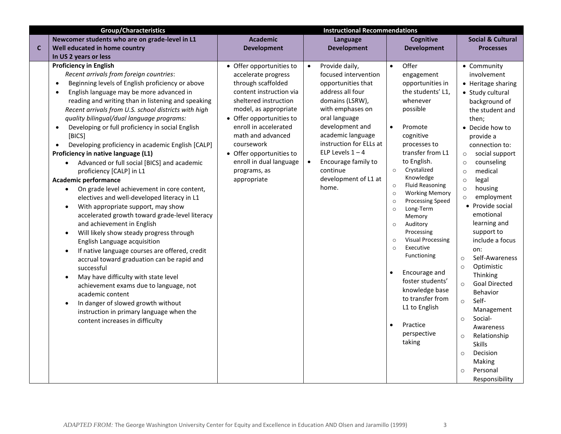|              | <b>Group/Characteristics</b>                                                                                                                                                                                                                                                                                                                                                                                                                                                                                                                                                                                                                                                                                                                                                                                                                                                                                                                                                                                                                                                                                                                                                                                                                                                                                                                                          | <b>Instructional Recommendations</b>                                                                                                                                                                                                                                                                                             |                                                                                                                                                                                                                                                                                                                                 |                                                                                                                                                                                                                                                                                                                                                                                                                                                                                                                                                                                                                                                                 |                                                                                                                                                                                                                                                                                                                                                                                                                                                                                                                                                                                                                                                                                                                         |
|--------------|-----------------------------------------------------------------------------------------------------------------------------------------------------------------------------------------------------------------------------------------------------------------------------------------------------------------------------------------------------------------------------------------------------------------------------------------------------------------------------------------------------------------------------------------------------------------------------------------------------------------------------------------------------------------------------------------------------------------------------------------------------------------------------------------------------------------------------------------------------------------------------------------------------------------------------------------------------------------------------------------------------------------------------------------------------------------------------------------------------------------------------------------------------------------------------------------------------------------------------------------------------------------------------------------------------------------------------------------------------------------------|----------------------------------------------------------------------------------------------------------------------------------------------------------------------------------------------------------------------------------------------------------------------------------------------------------------------------------|---------------------------------------------------------------------------------------------------------------------------------------------------------------------------------------------------------------------------------------------------------------------------------------------------------------------------------|-----------------------------------------------------------------------------------------------------------------------------------------------------------------------------------------------------------------------------------------------------------------------------------------------------------------------------------------------------------------------------------------------------------------------------------------------------------------------------------------------------------------------------------------------------------------------------------------------------------------------------------------------------------------|-------------------------------------------------------------------------------------------------------------------------------------------------------------------------------------------------------------------------------------------------------------------------------------------------------------------------------------------------------------------------------------------------------------------------------------------------------------------------------------------------------------------------------------------------------------------------------------------------------------------------------------------------------------------------------------------------------------------------|
|              | Newcomer students who are on grade-level in L1                                                                                                                                                                                                                                                                                                                                                                                                                                                                                                                                                                                                                                                                                                                                                                                                                                                                                                                                                                                                                                                                                                                                                                                                                                                                                                                        | <b>Academic</b>                                                                                                                                                                                                                                                                                                                  | Language                                                                                                                                                                                                                                                                                                                        | <b>Cognitive</b>                                                                                                                                                                                                                                                                                                                                                                                                                                                                                                                                                                                                                                                | <b>Social &amp; Cultural</b>                                                                                                                                                                                                                                                                                                                                                                                                                                                                                                                                                                                                                                                                                            |
| $\mathbf{C}$ | Well educated in home country                                                                                                                                                                                                                                                                                                                                                                                                                                                                                                                                                                                                                                                                                                                                                                                                                                                                                                                                                                                                                                                                                                                                                                                                                                                                                                                                         | <b>Development</b>                                                                                                                                                                                                                                                                                                               | <b>Development</b>                                                                                                                                                                                                                                                                                                              | <b>Development</b>                                                                                                                                                                                                                                                                                                                                                                                                                                                                                                                                                                                                                                              | <b>Processes</b>                                                                                                                                                                                                                                                                                                                                                                                                                                                                                                                                                                                                                                                                                                        |
|              | In US 2 years or less                                                                                                                                                                                                                                                                                                                                                                                                                                                                                                                                                                                                                                                                                                                                                                                                                                                                                                                                                                                                                                                                                                                                                                                                                                                                                                                                                 |                                                                                                                                                                                                                                                                                                                                  |                                                                                                                                                                                                                                                                                                                                 |                                                                                                                                                                                                                                                                                                                                                                                                                                                                                                                                                                                                                                                                 |                                                                                                                                                                                                                                                                                                                                                                                                                                                                                                                                                                                                                                                                                                                         |
|              | <b>Proficiency in English</b><br>Recent arrivals from foreign countries:<br>Beginning levels of English proficiency or above<br>$\bullet$<br>English language may be more advanced in<br>$\bullet$<br>reading and writing than in listening and speaking<br>Recent arrivals from U.S. school districts with high<br>quality bilingual/dual language programs:<br>Developing or full proficiency in social English<br>$\bullet$<br>[BICS]<br>Developing proficiency in academic English [CALP]<br>$\bullet$<br>Proficiency in native language (L1)<br>Advanced or full social [BICS] and academic<br>$\bullet$<br>proficiency [CALP] in L1<br><b>Academic performance</b><br>On grade level achievement in core content,<br>electives and well-developed literacy in L1<br>With appropriate support, may show<br>accelerated growth toward grade-level literacy<br>and achievement in English<br>Will likely show steady progress through<br>$\bullet$<br>English Language acquisition<br>If native language courses are offered, credit<br>$\bullet$<br>accrual toward graduation can be rapid and<br>successful<br>May have difficulty with state level<br>$\bullet$<br>achievement exams due to language, not<br>academic content<br>In danger of slowed growth without<br>$\bullet$<br>instruction in primary language when the<br>content increases in difficulty | • Offer opportunities to<br>accelerate progress<br>through scaffolded<br>content instruction via<br>sheltered instruction<br>model, as appropriate<br>• Offer opportunities to<br>enroll in accelerated<br>math and advanced<br>coursework<br>• Offer opportunities to<br>enroll in dual language<br>programs, as<br>appropriate | Provide daily,<br>$\bullet$<br>focused intervention<br>opportunities that<br>address all four<br>domains (LSRW),<br>with emphases on<br>oral language<br>development and<br>academic language<br>instruction for ELLs at<br>ELP Levels $1 - 4$<br>Encourage family to<br>$\bullet$<br>continue<br>development of L1 at<br>home. | Offer<br>$\bullet$<br>engagement<br>opportunities in<br>the students' L1,<br>whenever<br>possible<br>Promote<br>$\bullet$<br>cognitive<br>processes to<br>transfer from L1<br>to English.<br>Crystalized<br>$\circ$<br>Knowledge<br><b>Fluid Reasoning</b><br>$\circ$<br><b>Working Memory</b><br>$\circ$<br><b>Processing Speed</b><br>$\circ$<br>Long-Term<br>$\circ$<br>Memory<br>Auditory<br>$\circ$<br>Processing<br><b>Visual Processing</b><br>$\circ$<br>Executive<br>$\circ$<br>Functioning<br>$\bullet$<br>Encourage and<br>foster students'<br>knowledge base<br>to transfer from<br>L1 to English<br>Practice<br>$\bullet$<br>perspective<br>taking | • Community<br>involvement<br>• Heritage sharing<br>• Study cultural<br>background of<br>the student and<br>then;<br>• Decide how to<br>provide a<br>connection to:<br>social support<br>$\circ$<br>counseling<br>$\circ$<br>medical<br>$\circ$<br>legal<br>$\circ$<br>housing<br>$\circ$<br>employment<br>$\circ$<br>• Provide social<br>emotional<br>learning and<br>support to<br>include a focus<br>on:<br>Self-Awareness<br>$\circ$<br>Optimistic<br>$\circ$<br>Thinking<br><b>Goal Directed</b><br>$\circ$<br>Behavior<br>Self-<br>$\circ$<br>Management<br>Social-<br>$\circ$<br>Awareness<br>Relationship<br>$\circ$<br><b>Skills</b><br>Decision<br>$\circ$<br>Making<br>Personal<br>$\circ$<br>Responsibility |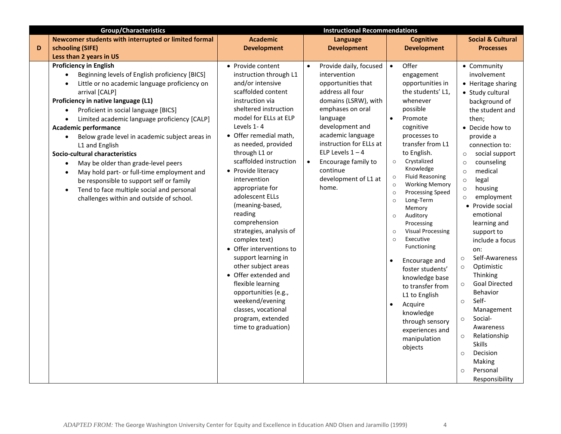|   | <b>Group/Characteristics</b>                                                                                                                                                                                                                                                                                                                                                                                                                                                                                                                                                                                                                                                                                                                             | <b>Instructional Recommendations</b>                                                                                                                                                                                                                                                                                                                                                                                                                                                                                                                                                                                                                                             |                                                                                                                                                                                                                                                                                                                    |                                                                                                                                                                                                                                                                                                                                                                                                                                                                                                                                                                                                                                                                                                        |                                                                                                                                                                                                                                                                                                                                                                                                                                                                                                                                                                                                                                                                                                                         |  |
|---|----------------------------------------------------------------------------------------------------------------------------------------------------------------------------------------------------------------------------------------------------------------------------------------------------------------------------------------------------------------------------------------------------------------------------------------------------------------------------------------------------------------------------------------------------------------------------------------------------------------------------------------------------------------------------------------------------------------------------------------------------------|----------------------------------------------------------------------------------------------------------------------------------------------------------------------------------------------------------------------------------------------------------------------------------------------------------------------------------------------------------------------------------------------------------------------------------------------------------------------------------------------------------------------------------------------------------------------------------------------------------------------------------------------------------------------------------|--------------------------------------------------------------------------------------------------------------------------------------------------------------------------------------------------------------------------------------------------------------------------------------------------------------------|--------------------------------------------------------------------------------------------------------------------------------------------------------------------------------------------------------------------------------------------------------------------------------------------------------------------------------------------------------------------------------------------------------------------------------------------------------------------------------------------------------------------------------------------------------------------------------------------------------------------------------------------------------------------------------------------------------|-------------------------------------------------------------------------------------------------------------------------------------------------------------------------------------------------------------------------------------------------------------------------------------------------------------------------------------------------------------------------------------------------------------------------------------------------------------------------------------------------------------------------------------------------------------------------------------------------------------------------------------------------------------------------------------------------------------------------|--|
|   | Newcomer students with interrupted or limited formal                                                                                                                                                                                                                                                                                                                                                                                                                                                                                                                                                                                                                                                                                                     | <b>Academic</b>                                                                                                                                                                                                                                                                                                                                                                                                                                                                                                                                                                                                                                                                  | Language                                                                                                                                                                                                                                                                                                           | <b>Cognitive</b>                                                                                                                                                                                                                                                                                                                                                                                                                                                                                                                                                                                                                                                                                       | <b>Social &amp; Cultural</b>                                                                                                                                                                                                                                                                                                                                                                                                                                                                                                                                                                                                                                                                                            |  |
| D | schooling (SIFE)                                                                                                                                                                                                                                                                                                                                                                                                                                                                                                                                                                                                                                                                                                                                         | <b>Development</b>                                                                                                                                                                                                                                                                                                                                                                                                                                                                                                                                                                                                                                                               | <b>Development</b>                                                                                                                                                                                                                                                                                                 | <b>Development</b>                                                                                                                                                                                                                                                                                                                                                                                                                                                                                                                                                                                                                                                                                     | <b>Processes</b>                                                                                                                                                                                                                                                                                                                                                                                                                                                                                                                                                                                                                                                                                                        |  |
|   | Less than 2 years in US                                                                                                                                                                                                                                                                                                                                                                                                                                                                                                                                                                                                                                                                                                                                  |                                                                                                                                                                                                                                                                                                                                                                                                                                                                                                                                                                                                                                                                                  |                                                                                                                                                                                                                                                                                                                    |                                                                                                                                                                                                                                                                                                                                                                                                                                                                                                                                                                                                                                                                                                        |                                                                                                                                                                                                                                                                                                                                                                                                                                                                                                                                                                                                                                                                                                                         |  |
|   | <b>Proficiency in English</b><br>Beginning levels of English proficiency [BICS]<br>$\bullet$<br>Little or no academic language proficiency on<br>$\bullet$<br>arrival [CALP]<br>Proficiency in native language (L1)<br>Proficient in social language [BICS]<br>$\bullet$<br>Limited academic language proficiency [CALP]<br>$\bullet$<br><b>Academic performance</b><br>Below grade level in academic subject areas in<br>$\bullet$<br>L1 and English<br>Socio-cultural characteristics<br>May be older than grade-level peers<br>$\bullet$<br>May hold part- or full-time employment and<br>$\bullet$<br>be responsible to support self or family<br>Tend to face multiple social and personal<br>$\bullet$<br>challenges within and outside of school. | • Provide content<br>instruction through L1<br>and/or intensive<br>scaffolded content<br>instruction via<br>sheltered instruction<br>model for ELLs at ELP<br>Levels 1-4<br>• Offer remedial math,<br>as needed, provided<br>through L1 or<br>scaffolded instruction<br>• Provide literacy<br>intervention<br>appropriate for<br>adolescent ELLs<br>(meaning-based,<br>reading<br>comprehension<br>strategies, analysis of<br>complex text)<br>• Offer interventions to<br>support learning in<br>other subject areas<br>• Offer extended and<br>flexible learning<br>opportunities (e.g.,<br>weekend/evening<br>classes, vocational<br>program, extended<br>time to graduation) | Provide daily, focused<br>intervention<br>opportunities that<br>address all four<br>domains (LSRW), with<br>emphases on oral<br>language<br>development and<br>academic language<br>instruction for ELLs at<br>ELP Levels $1 - 4$<br>Encourage family to<br>$\bullet$<br>continue<br>development of L1 at<br>home. | Offer<br>$\bullet$<br>engagement<br>opportunities in<br>the students' L1,<br>whenever<br>possible<br>Promote<br>$\bullet$<br>cognitive<br>processes to<br>transfer from L1<br>to English.<br>Crystalized<br>$\circ$<br>Knowledge<br><b>Fluid Reasoning</b><br>$\circ$<br><b>Working Memory</b><br>$\circ$<br><b>Processing Speed</b><br>$\circ$<br>Long-Term<br>$\circ$<br>Memory<br>Auditory<br>$\circ$<br>Processing<br><b>Visual Processing</b><br>$\circ$<br>Executive<br>$\circ$<br>Functioning<br>Encourage and<br>foster students'<br>knowledge base<br>to transfer from<br>L1 to English<br>Acquire<br>$\bullet$<br>knowledge<br>through sensory<br>experiences and<br>manipulation<br>objects | • Community<br>involvement<br>• Heritage sharing<br>• Study cultural<br>background of<br>the student and<br>then:<br>• Decide how to<br>provide a<br>connection to:<br>social support<br>$\circ$<br>counseling<br>$\circ$<br>medical<br>$\circ$<br>legal<br>$\circ$<br>housing<br>$\circ$<br>employment<br>$\circ$<br>• Provide social<br>emotional<br>learning and<br>support to<br>include a focus<br>on:<br>Self-Awareness<br>$\circ$<br>Optimistic<br>$\circ$<br>Thinking<br><b>Goal Directed</b><br>$\circ$<br>Behavior<br>Self-<br>$\circ$<br>Management<br>Social-<br>$\circ$<br>Awareness<br>Relationship<br>$\circ$<br><b>Skills</b><br>Decision<br>$\circ$<br>Making<br>Personal<br>$\circ$<br>Responsibility |  |